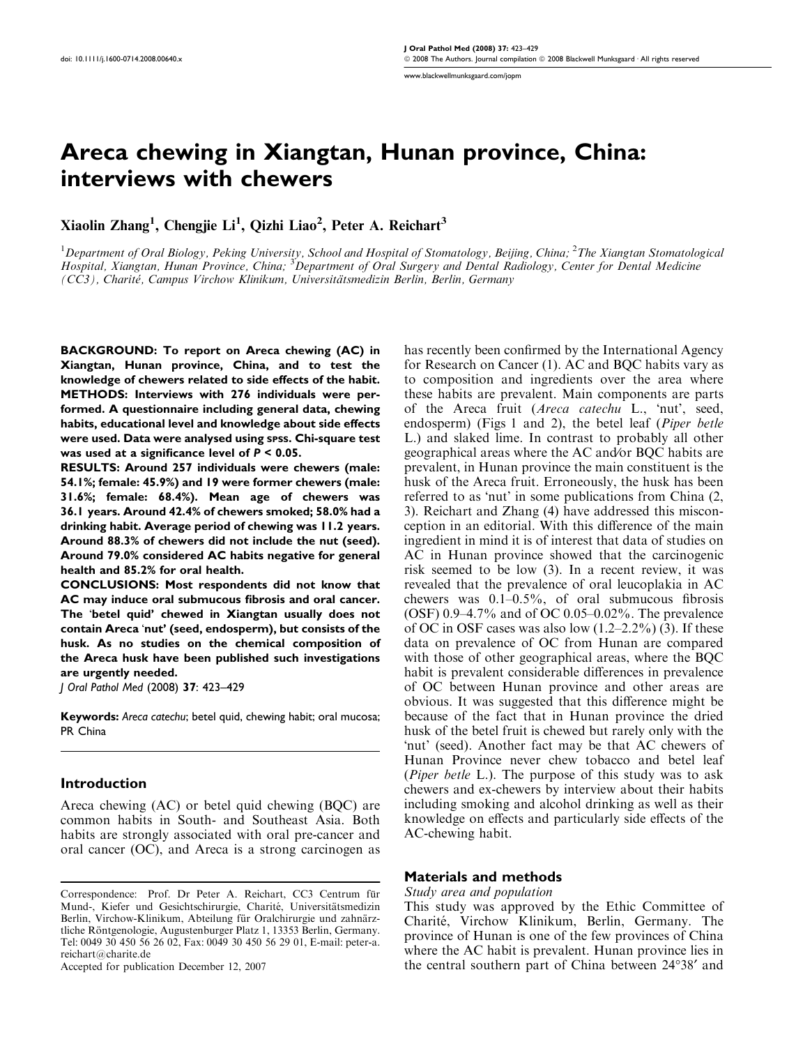Areca chewing in Xiangtan, Hunan province, China: interviews with chewers

Xiaolin Zhang<sup>1</sup>, Chengjie Li<sup>1</sup>, Qizhi Liao<sup>2</sup>, Peter A. Reichart<sup>3</sup>

 $^1$ Department of Oral Biology, Peking University, School and Hospital of Stomatology, Beijing, China;  $^2$ The Xiangtan Stomatological Hospital, Xiangtan, Hunan Province, China; <sup>3</sup>Department of Oral Surgery and Dental Radiology, Center for Dental Medicine (CC3), Charité, Campus Virchow Klinikum, Universitätsmedizin Berlin, Berlin, Germany

BACKGROUND: To report on Areca chewing (AC) in Xiangtan, Hunan province, China, and to test the knowledge of chewers related to side effects of the habit. METHODS: Interviews with 276 individuals were performed. A questionnaire including general data, chewing habits, educational level and knowledge about side effects were used. Data were analysed using SPSS. Chi-square test was used at a significance level of P < 0.05.

RESULTS: Around 257 individuals were chewers (male: 54.1%; female: 45.9%) and 19 were former chewers (male: 31.6%; female: 68.4%). Mean age of chewers was 36.1 years. Around 42.4% of chewers smoked; 58.0% had a drinking habit. Average period of chewing was 11.2 years. Around 88.3% of chewers did not include the nut (seed). Around 79.0% considered AC habits negative for general health and 85.2% for oral health.

CONCLUSIONS: Most respondents did not know that AC may induce oral submucous fibrosis and oral cancer. The 'betel quid' chewed in Xiangtan usually does not contain Areca 'nut' (seed, endosperm), but consists of the husk. As no studies on the chemical composition of the Areca husk have been published such investigations are urgently needed.

J Oral Pathol Med (2008) 37: 423–429

Keywords: Areca catechu; betel quid, chewing habit; oral mucosa; PR China

### Introduction

Areca chewing (AC) or betel quid chewing (BQC) are common habits in South- and Southeast Asia. Both habits are strongly associated with oral pre-cancer and oral cancer (OC), and Areca is a strong carcinogen as

Accepted for publication December 12, 2007

has recently been confirmed by the International Agency for Research on Cancer (1). AC and BQC habits vary as to composition and ingredients over the area where these habits are prevalent. Main components are parts of the Areca fruit (Areca catechu L., 'nut', seed, endosperm) (Figs 1 and 2), the betel leaf (Piper betle L.) and slaked lime. In contrast to probably all other geographical areas where the AC and⁄or BQC habits are prevalent, in Hunan province the main constituent is the husk of the Areca fruit. Erroneously, the husk has been referred to as 'nut' in some publications from China (2, 3). Reichart and Zhang (4) have addressed this misconception in an editorial. With this difference of the main ingredient in mind it is of interest that data of studies on AC in Hunan province showed that the carcinogenic risk seemed to be low (3). In a recent review, it was revealed that the prevalence of oral leucoplakia in AC chewers was 0.1–0.5%, of oral submucous fibrosis (OSF) 0.9–4.7% and of OC 0.05–0.02%. The prevalence of OC in OSF cases was also low  $(1.2-2.2\%)$  (3). If these data on prevalence of OC from Hunan are compared with those of other geographical areas, where the BQC habit is prevalent considerable differences in prevalence of OC between Hunan province and other areas are obvious. It was suggested that this difference might be because of the fact that in Hunan province the dried husk of the betel fruit is chewed but rarely only with the -nut' (seed). Another fact may be that AC chewers of Hunan Province never chew tobacco and betel leaf (Piper betle L.). The purpose of this study was to ask chewers and ex-chewers by interview about their habits including smoking and alcohol drinking as well as their knowledge on effects and particularly side effects of the AC-chewing habit.

#### Materials and methods

#### Study area and population

This study was approved by the Ethic Committee of Charite´, Virchow Klinikum, Berlin, Germany. The province of Hunan is one of the few provinces of China where the AC habit is prevalent. Hunan province lies in the central southern part of China between 24°38' and

Correspondence: Prof. Dr Peter A. Reichart, CC3 Centrum für Mund-, Kiefer und Gesichtschirurgie, Charité, Universitätsmedizin Berlin, Virchow-Klinikum, Abteilung für Oralchirurgie und zahnärztliche Röntgenologie, Augustenburger Platz 1, 13353 Berlin, Germany. Tel: 0049 30 450 56 26 02, Fax: 0049 30 450 56 29 01, E-mail: peter-a. reichart@charite.de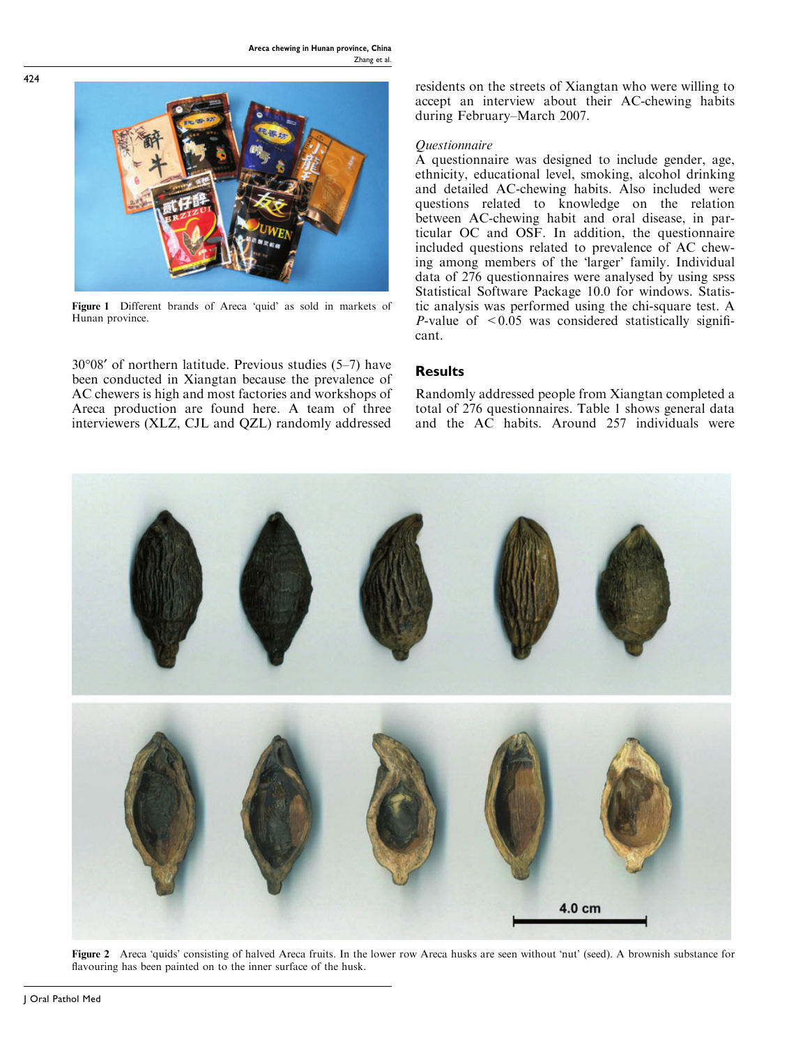

**Figure 1** Different brands of Areca 'quid' as sold in markets of Hunan province.

30-08¢ of northern latitude. Previous studies (5–7) have been conducted in Xiangtan because the prevalence of AC chewers is high and most factories and workshops of Areca production are found here. A team of three interviewers (XLZ, CJL and QZL) randomly addressed residents on the streets of Xiangtan who were willing to accept an interview about their AC-chewing habits during February–March 2007.

## Questionnaire

A questionnaire was designed to include gender, age, ethnicity, educational level, smoking, alcohol drinking and detailed AC-chewing habits. Also included were questions related to knowledge on the relation between AC-chewing habit and oral disease, in particular OC and OSF. In addition, the questionnaire included questions related to prevalence of AC chewing among members of the 'larger' family. Individual data of 276 questionnaires were analysed by using spss Statistical Software Package 10.0 for windows. Statistic analysis was performed using the chi-square test. A *P*-value of  $\leq 0.05$  was considered statistically significant.

# **Results**

Randomly addressed people from Xiangtan completed a total of 276 questionnaires. Table 1 shows general data and the AC habits. Around 257 individuals were



Figure 2 Areca 'quids' consisting of halved Areca fruits. In the lower row Areca husks are seen without 'nut' (seed). A brownish substance for flavouring has been painted on to the inner surface of the husk.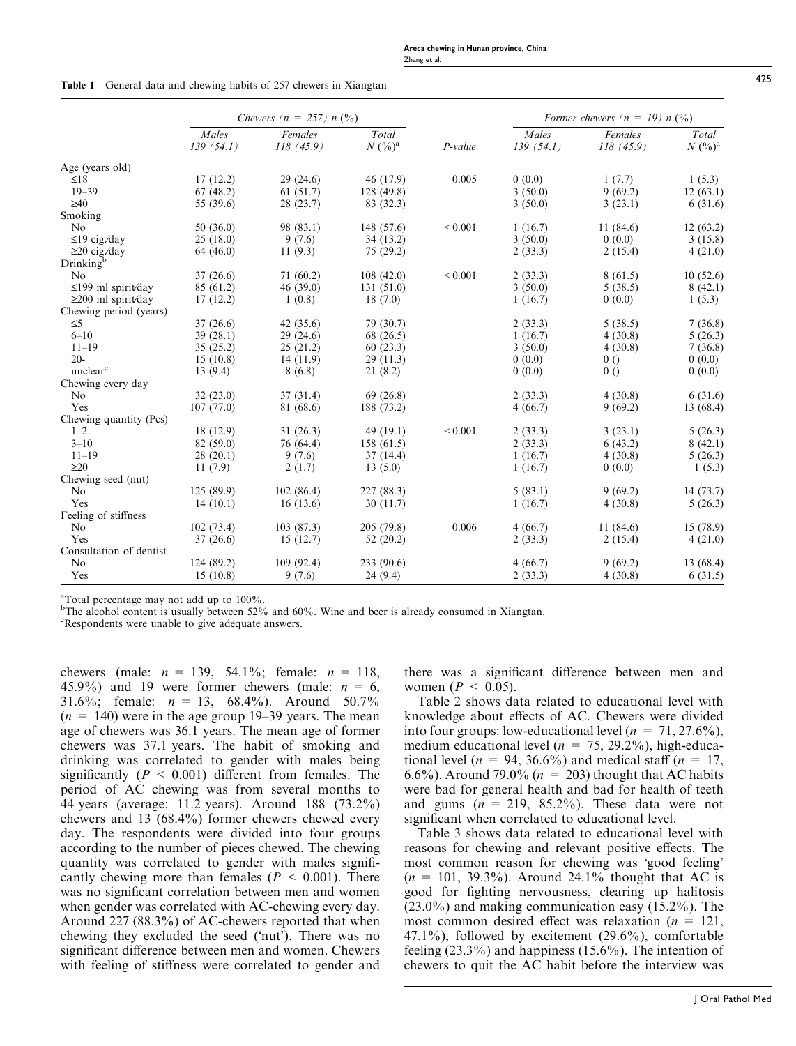|  |  |  |  |  |  |  | <b>Table 1</b> General data and chewing habits of 257 chewers in Xiangtan |
|--|--|--|--|--|--|--|---------------------------------------------------------------------------|
|--|--|--|--|--|--|--|---------------------------------------------------------------------------|

|                          | Chewers ( $n = 257$ ) $n$ (%) |                      |                    |              | Former chewers $(n = 19) n$ (%) |                      |                    |  |
|--------------------------|-------------------------------|----------------------|--------------------|--------------|---------------------------------|----------------------|--------------------|--|
|                          | Males<br>139(54.1)            | Females<br>118(45.9) | Total<br>$N (%)^a$ | P-value      | Males<br>139(54.1)              | Females<br>118(45.9) | Total<br>$N (%)^a$ |  |
| Age (years old)          |                               |                      |                    |              |                                 |                      |                    |  |
| $\leq 18$                | 17(12.2)                      | 29(24.6)             | 46 (17.9)          | 0.005        | 0(0.0)                          | 1(7.7)               | 1(5.3)             |  |
| $19 - 39$                | 67(48.2)                      | 61(51.7)             | 128 (49.8)         |              | 3(50.0)                         | 9(69.2)              | 12(63.1)           |  |
| $\geq 40$                | 55 (39.6)                     | 28(23.7)             | 83 (32.3)          |              | 3(50.0)                         | 3(23.1)              | 6(31.6)            |  |
| Smoking                  |                               |                      |                    |              |                                 |                      |                    |  |
| N <sub>0</sub>           | 50(36.0)                      | 98 (83.1)            | 148 (57.6)         | ${}_{0.001}$ | 1(16.7)                         | 11 (84.6)            | 12(63.2)           |  |
| $\leq$ 19 cig/day        | 25(18.0)                      | 9(7.6)               | 34(13.2)           |              | 3(50.0)                         | 0(0.0)               | 3(15.8)            |  |
| $\geq$ 20 cig/day        | 64 (46.0)                     | 11(9.3)              | 75(29.2)           |              | 2(33.3)                         | 2(15.4)              | 4(21.0)            |  |
| Drinking <sup>b</sup>    |                               |                      |                    |              |                                 |                      |                    |  |
| N <sub>o</sub>           | 37(26.6)                      | 71(60.2)             | 108(42.0)          | ${}_{0.001}$ | 2(33.3)                         | 8(61.5)              | 10(52.6)           |  |
| $\leq$ 199 ml spirit/day | 85 (61.2)                     | 46(39.0)             | 131(51.0)          |              | 3(50.0)                         | 5(38.5)              | 8(42.1)            |  |
| $\geq$ 200 ml spirit/day | 17(12.2)                      | 1(0.8)               | 18(7.0)            |              | 1(16.7)                         | 0(0.0)               | 1(5.3)             |  |
| Chewing period (years)   |                               |                      |                    |              |                                 |                      |                    |  |
| $\leq 5$                 | 37(26.6)                      | 42(35.6)             | 79 (30.7)          |              | 2(33.3)                         | 5(38.5)              | 7(36.8)            |  |
| $6 - 10$                 | 39(28.1)                      | 29(24.6)             | 68 (26.5)          |              | 1(16.7)                         | 4(30.8)              | 5(26.3)            |  |
| $11 - 19$                | 35(25.2)                      | 25(21.2)             | 60(23.3)           |              | 3(50.0)                         | 4(30.8)              | 7(36.8)            |  |
| $20 -$                   | 15(10.8)                      | 14(11.9)             | 29(11.3)           |              | 0(0.0)                          | 0 <sub>0</sub>       | 0(0.0)             |  |
| unclear <sup>c</sup>     | 13(9.4)                       | 8(6.8)               | 21(8.2)            |              | 0(0.0)                          | 0()                  | 0(0.0)             |  |
| Chewing every day        |                               |                      |                    |              |                                 |                      |                    |  |
| No                       | 32(23.0)                      | 37(31.4)             | 69(26.8)           |              | 2(33.3)                         | 4(30.8)              | 6(31.6)            |  |
| Yes                      | 107(77.0)                     | 81 (68.6)            | 188 (73.2)         |              | 4(66.7)                         | 9(69.2)              | 13 (68.4)          |  |
| Chewing quantity (Pcs)   |                               |                      |                    |              |                                 |                      |                    |  |
| $1 - 2$                  | 18(12.9)                      | 31(26.3)             | 49(19.1)           | ${}_{0.001}$ | 2(33.3)                         | 3(23.1)              | 5(26.3)            |  |
| $3 - 10$                 | 82 (59.0)                     | 76 (64.4)            | 158(61.5)          |              | 2(33.3)                         | 6(43.2)              | 8(42.1)            |  |
| $11 - 19$                | 28(20.1)                      | 9(7.6)               | 37(14.4)           |              | 1(16.7)                         | 4(30.8)              | 5(26.3)            |  |
| $\geq$ 20                | 11(7.9)                       | 2(1.7)               | 13(5.0)            |              | 1(16.7)                         | 0(0.0)               | 1(5.3)             |  |
| Chewing seed (nut)       |                               |                      |                    |              |                                 |                      |                    |  |
| No                       | 125(89.9)                     | 102(86.4)            | 227 (88.3)         |              | 5(83.1)                         | 9(69.2)              | 14(73.7)           |  |
| Yes                      | 14(10.1)                      | 16(13.6)             | 30(11.7)           |              | 1(16.7)                         | 4(30.8)              | 5(26.3)            |  |
| Feeling of stiffness     |                               |                      |                    |              |                                 |                      |                    |  |
| No                       | 102(73.4)                     | 103(87.3)            | 205 (79.8)         | 0.006        | 4(66.7)                         | 11 (84.6)            | 15 (78.9)          |  |
| Yes                      | 37(26.6)                      | 15(12.7)             | 52(20.2)           |              | 2(33.3)                         | 2(15.4)              | 4(21.0)            |  |
| Consultation of dentist  |                               |                      |                    |              |                                 |                      |                    |  |
| N <sub>o</sub>           | 124(89.2)                     | 109(92.4)            | 233 (90.6)         |              | 4(66.7)                         | 9(69.2)              | 13 (68.4)          |  |
| Yes                      | 15(10.8)                      | 9(7.6)               | 24(9.4)            |              | 2(33.3)                         | 4(30.8)              | 6(31.5)            |  |

<sup>a</sup>Total percentage may not add up to 100%.

<sup>b</sup>The alcohol content is usually between 52% and 60%. Wine and beer is already consumed in Xiangtan.

<sup>c</sup>Respondents were unable to give adequate answers.

chewers (male:  $n = 139, 54.1\%$ ; female:  $n = 118$ , 45.9%) and 19 were former chewers (male:  $n = 6$ , 31.6%; female:  $n = 13$ , 68.4%). Around 50.7%  $(n = 140)$  were in the age group 19–39 years. The mean age of chewers was 36.1 years. The mean age of former chewers was 37.1 years. The habit of smoking and drinking was correlated to gender with males being significantly ( $P < 0.001$ ) different from females. The period of AC chewing was from several months to 44 years (average: 11.2 years). Around 188 (73.2%) chewers and 13 (68.4%) former chewers chewed every day. The respondents were divided into four groups according to the number of pieces chewed. The chewing quantity was correlated to gender with males significantly chewing more than females ( $P < 0.001$ ). There was no significant correlation between men and women when gender was correlated with AC-chewing every day. Around 227 (88.3%) of AC-chewers reported that when chewing they excluded the seed ('nut'). There was no significant difference between men and women. Chewers with feeling of stiffness were correlated to gender and there was a significant difference between men and women ( $P \leq 0.05$ ).

Table 2 shows data related to educational level with knowledge about effects of AC. Chewers were divided into four groups: low-educational level ( $n = 71, 27.6\%$ ), medium educational level ( $n = 75, 29.2\%$ ), high-educational level ( $n = 94, 36.6\%$ ) and medical staff ( $n = 17$ , 6.6%). Around 79.0% ( $n = 203$ ) thought that AC habits were bad for general health and bad for health of teeth and gums  $(n = 219, 85.2\%)$ . These data were not significant when correlated to educational level.

Table 3 shows data related to educational level with reasons for chewing and relevant positive effects. The most common reason for chewing was 'good feeling'  $(n = 101, 39.3\%)$ . Around 24.1% thought that AC is good for fighting nervousness, clearing up halitosis (23.0%) and making communication easy (15.2%). The most common desired effect was relaxation ( $n = 121$ ,  $47.1\%$ ), followed by excitement  $(29.6\%)$ , comfortable feeling (23.3%) and happiness (15.6%). The intention of chewers to quit the AC habit before the interview was

 $425$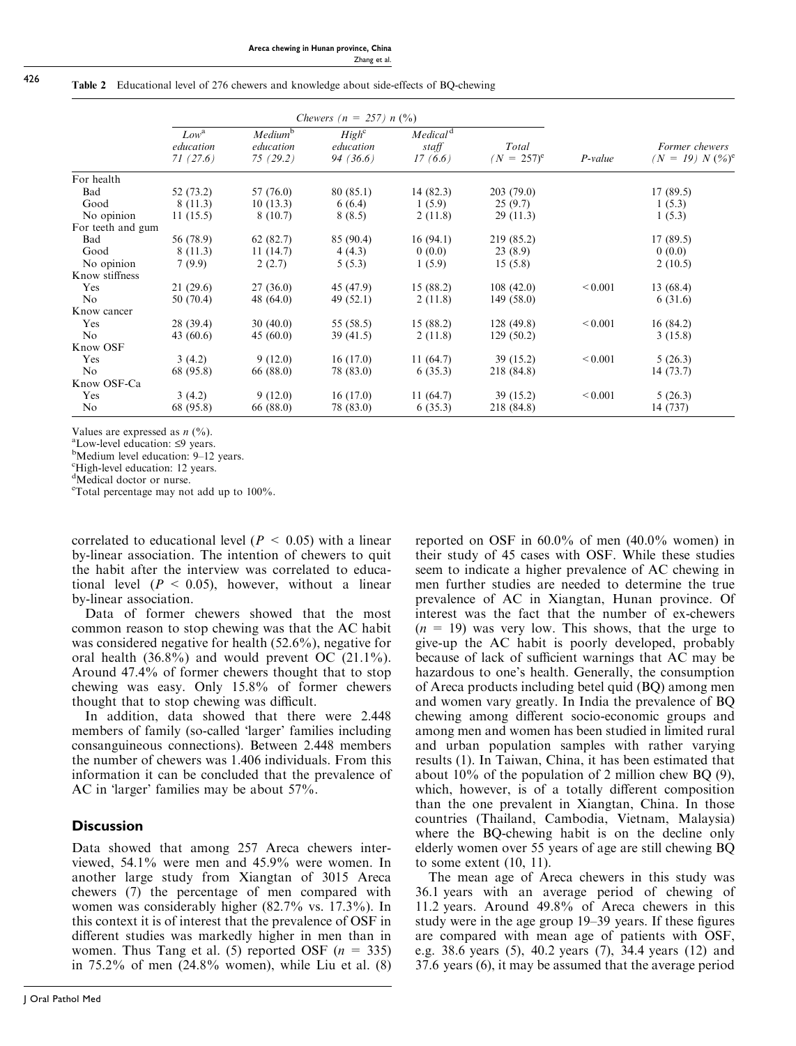#### Table 2 Educational level of 276 chewers and knowledge about side-effects of BQ-chewing

|                   | <i>Chewers (n = 257) n (%)</i>            |                                              |                                            |                                          |                        |              |                                                 |
|-------------------|-------------------------------------------|----------------------------------------------|--------------------------------------------|------------------------------------------|------------------------|--------------|-------------------------------------------------|
|                   | Low <sup>a</sup><br>education<br>71(27.6) | Medium <sup>b</sup><br>education<br>75(29.2) | High <sup>c</sup><br>education<br>94(36.6) | Medical <sup>d</sup><br>staff<br>17(6.6) | Total<br>$(N = 257)^e$ | P-value      | Former chewers<br>$(N = 19) N$ (%) <sup>e</sup> |
| For health        |                                           |                                              |                                            |                                          |                        |              |                                                 |
| Bad               | 52 (73.2)                                 | 57 (76.0)                                    | 80 (85.1)                                  | 14(82.3)                                 | 203(79.0)              |              | 17(89.5)                                        |
| Good              | 8(11.3)                                   | 10(13.3)                                     | 6(6.4)                                     | 1(5.9)                                   | 25(9.7)                |              | 1(5.3)                                          |
| No opinion        | 11(15.5)                                  | 8(10.7)                                      | 8(8.5)                                     | 2(11.8)                                  | 29(11.3)               |              | 1(5.3)                                          |
| For teeth and gum |                                           |                                              |                                            |                                          |                        |              |                                                 |
| Bad               | 56 (78.9)                                 | 62(82.7)                                     | 85 (90.4)                                  | 16(94.1)                                 | 219 (85.2)             |              | 17(89.5)                                        |
| Good              | 8(11.3)                                   | 11(14.7)                                     | 4(4.3)                                     | 0(0.0)                                   | 23(8.9)                |              | 0(0.0)                                          |
| No opinion        | 7(9.9)                                    | 2(2.7)                                       | 5(5.3)                                     | 1(5.9)                                   | 15(5.8)                |              | 2(10.5)                                         |
| Know stiffness    |                                           |                                              |                                            |                                          |                        |              |                                                 |
| Yes               | 21(29.6)                                  | 27(36.0)                                     | 45 (47.9)                                  | 15 (88.2)                                | 108(42.0)              | ${}_{0.001}$ | 13 (68.4)                                       |
| No                | 50 (70.4)                                 | 48 (64.0)                                    | 49(52.1)                                   | 2(11.8)                                  | 149(58.0)              |              | 6(31.6)                                         |
| Know cancer       |                                           |                                              |                                            |                                          |                        |              |                                                 |
| Yes               | 28 (39.4)                                 | 30(40.0)                                     | 55 (58.5)                                  | 15 (88.2)                                | 128(49.8)              | ${}_{0.001}$ | 16(84.2)                                        |
| N <sub>o</sub>    | 43 $(60.6)$                               | 45(60.0)                                     | 39(41.5)                                   | 2(11.8)                                  | 129(50.2)              |              | 3(15.8)                                         |
| Know OSF          |                                           |                                              |                                            |                                          |                        |              |                                                 |
| Yes               | 3(4.2)                                    | 9(12.0)                                      | 16(17.0)                                   | 11(64.7)                                 | 39 (15.2)              | ${}_{0.001}$ | 5(26.3)                                         |
| No                | 68 (95.8)                                 | 66 (88.0)                                    | 78 (83.0)                                  | 6(35.3)                                  | 218 (84.8)             |              | 14(73.7)                                        |
| Know OSF-Ca       |                                           |                                              |                                            |                                          |                        |              |                                                 |
| Yes               | 3(4.2)                                    | 9(12.0)                                      | 16(17.0)                                   | 11(64.7)                                 | 39 (15.2)              | ${}_{0.001}$ | 5(26.3)                                         |
| N <sub>o</sub>    | 68 (95.8)                                 | 66 (88.0)                                    | 78 (83.0)                                  | 6(35.3)                                  | 218 (84.8)             |              | 14 (737)                                        |

Values are expressed as  $n$  (%).

 $a$ Low-level education:  $\leq$ 9 years.

Medium level education: 9–12 years.

c High-level education: 12 years.

<sup>d</sup>Medical doctor or nurse.

e Total percentage may not add up to 100%.

correlated to educational level ( $P < 0.05$ ) with a linear by-linear association. The intention of chewers to quit the habit after the interview was correlated to educational level  $(P < 0.05)$ , however, without a linear by-linear association.

Data of former chewers showed that the most common reason to stop chewing was that the AC habit was considered negative for health (52.6%), negative for oral health (36.8%) and would prevent OC (21.1%). Around 47.4% of former chewers thought that to stop chewing was easy. Only 15.8% of former chewers thought that to stop chewing was difficult.

In addition, data showed that there were 2.448 members of family (so-called 'larger' families including consanguineous connections). Between 2.448 members the number of chewers was 1.406 individuals. From this information it can be concluded that the prevalence of AC in 'larger' families may be about 57%.

# **Discussion**

Data showed that among 257 Areca chewers interviewed, 54.1% were men and 45.9% were women. In another large study from Xiangtan of 3015 Areca chewers (7) the percentage of men compared with women was considerably higher (82.7% vs. 17.3%). In this context it is of interest that the prevalence of OSF in different studies was markedly higher in men than in women. Thus Tang et al. (5) reported OSF  $(n = 335)$ in 75.2% of men (24.8% women), while Liu et al. (8) reported on OSF in 60.0% of men (40.0% women) in their study of 45 cases with OSF. While these studies seem to indicate a higher prevalence of AC chewing in men further studies are needed to determine the true prevalence of AC in Xiangtan, Hunan province. Of interest was the fact that the number of ex-chewers  $(n = 19)$  was very low. This shows, that the urge to give-up the AC habit is poorly developed, probably because of lack of sufficient warnings that AC may be hazardous to one's health. Generally, the consumption of Areca products including betel quid (BQ) among men and women vary greatly. In India the prevalence of BQ chewing among different socio-economic groups and among men and women has been studied in limited rural and urban population samples with rather varying results (1). In Taiwan, China, it has been estimated that about 10% of the population of 2 million chew BQ (9), which, however, is of a totally different composition than the one prevalent in Xiangtan, China. In those countries (Thailand, Cambodia, Vietnam, Malaysia) where the BQ-chewing habit is on the decline only elderly women over 55 years of age are still chewing BQ to some extent (10, 11).

The mean age of Areca chewers in this study was 36.1 years with an average period of chewing of 11.2 years. Around 49.8% of Areca chewers in this study were in the age group 19–39 years. If these figures are compared with mean age of patients with OSF, e.g. 38.6 years (5), 40.2 years (7), 34.4 years (12) and 37.6 years (6), it may be assumed that the average period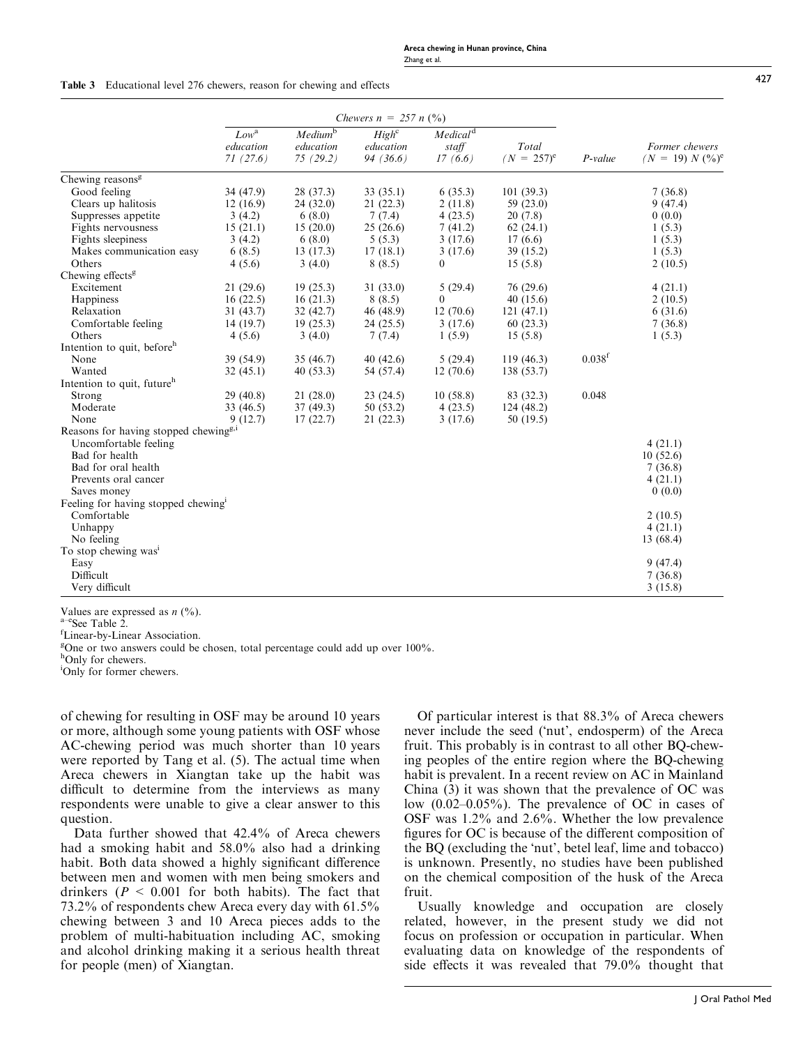|                                                   | Chewers $n = 257 n$ (%)                |                                              |                                            |                                          |                        |                    |                                      |
|---------------------------------------------------|----------------------------------------|----------------------------------------------|--------------------------------------------|------------------------------------------|------------------------|--------------------|--------------------------------------|
|                                                   | $Low^{\rm a}$<br>education<br>71(27.6) | Medium <sup>b</sup><br>education<br>75(29.2) | High <sup>c</sup><br>education<br>94(36.6) | Medical <sup>d</sup><br>staff<br>17(6.6) | Total<br>$(N = 257)^e$ | $P-value$          | Former chewers<br>$(N = 19) N (%)^e$ |
| Chewing reasons <sup>g</sup>                      |                                        |                                              |                                            |                                          |                        |                    |                                      |
| Good feeling                                      | 34 (47.9)                              | 28 (37.3)                                    | 33(35.1)                                   | 6(35.3)                                  | 101(39.3)              |                    | 7(36.8)                              |
| Clears up halitosis                               | 12(16.9)                               | 24(32.0)                                     | 21(22.3)                                   | 2(11.8)                                  | 59 (23.0)              |                    | 9(47.4)                              |
| Suppresses appetite                               | 3(4.2)                                 | 6(8.0)                                       | 7(7.4)                                     | 4(23.5)                                  | 20(7.8)                |                    | 0(0.0)                               |
| Fights nervousness                                | 15(21.1)                               | 15(20.0)                                     | 25(26.6)                                   | 7(41.2)                                  | 62(24.1)               |                    | 1(5.3)                               |
| Fights sleepiness                                 | 3(4.2)                                 | 6(8.0)                                       | 5(5.3)                                     | 3(17.6)                                  | 17(6.6)                |                    | 1(5.3)                               |
| Makes communication easy                          | 6(8.5)                                 | 13(17.3)                                     | 17(18.1)                                   | 3(17.6)                                  | 39(15.2)               |                    | 1(5.3)                               |
| Others                                            | 4(5.6)                                 | 3(4.0)                                       | 8(8.5)                                     | $\mathbf{0}$                             | 15(5.8)                |                    | 2(10.5)                              |
| Chewing effects <sup>g</sup>                      |                                        |                                              |                                            |                                          |                        |                    |                                      |
| Excitement                                        | 21(29.6)                               | 19(25.3)                                     | 31(33.0)                                   | 5(29.4)                                  | 76 (29.6)              |                    | 4(21.1)                              |
| Happiness                                         | 16(22.5)                               | 16(21.3)                                     | 8(8.5)                                     | $\theta$                                 | 40(15.6)               |                    | 2(10.5)                              |
| Relaxation                                        | 31(43.7)                               | 32(42.7)                                     | 46(48.9)                                   | 12(70.6)                                 | 121(47.1)              |                    | 6(31.6)                              |
| Comfortable feeling                               | 14 (19.7)                              | 19(25.3)                                     | 24(25.5)                                   | 3(17.6)                                  | 60(23.3)               |                    | 7(36.8)                              |
| Others                                            | 4(5.6)                                 | 3(4.0)                                       | 7(7.4)                                     | 1(5.9)                                   | 15(5.8)                |                    | 1(5.3)                               |
| Intention to quit, before <sup>h</sup>            |                                        |                                              |                                            |                                          |                        |                    |                                      |
| None                                              | 39 (54.9)                              | 35(46.7)                                     | 40(42.6)                                   | 5(29.4)                                  | 119(46.3)              | 0.038 <sup>f</sup> |                                      |
| Wanted                                            | 32 (45.1)                              | 40(53.3)                                     | 54 (57.4)                                  | 12(70.6)                                 | 138 (53.7)             |                    |                                      |
| Intention to quit, future <sup>h</sup>            |                                        |                                              |                                            |                                          |                        |                    |                                      |
| Strong                                            | 29(40.8)                               | 21(28.0)                                     | 23(24.5)                                   | 10(58.8)                                 | 83 (32.3)              | 0.048              |                                      |
| Moderate                                          | 33 (46.5)                              | 37(49.3)                                     | 50(53.2)                                   | 4(23.5)                                  | 124(48.2)              |                    |                                      |
| None                                              | 9(12.7)                                | 17(22.7)                                     | 21(22.3)                                   | 3(17.6)                                  | 50(19.5)               |                    |                                      |
| Reasons for having stopped chewing <sup>g,i</sup> |                                        |                                              |                                            |                                          |                        |                    |                                      |
| Uncomfortable feeling                             |                                        |                                              |                                            |                                          |                        |                    | 4(21.1)                              |
| Bad for health                                    |                                        |                                              |                                            |                                          |                        |                    | 10(52.6)                             |
| Bad for oral health                               |                                        |                                              |                                            |                                          |                        |                    | 7(36.8)                              |
| Prevents oral cancer                              |                                        |                                              |                                            |                                          |                        |                    | 4(21.1)                              |
| Saves money                                       |                                        |                                              |                                            |                                          |                        |                    | 0(0.0)                               |
| Feeling for having stopped chewing <sup>1</sup>   |                                        |                                              |                                            |                                          |                        |                    |                                      |
| Comfortable                                       |                                        |                                              |                                            |                                          |                        |                    | 2(10.5)                              |
| Unhappy                                           |                                        |                                              |                                            |                                          |                        |                    | 4(21.1)                              |
| No feeling                                        |                                        |                                              |                                            |                                          |                        |                    | 13 (68.4)                            |
| To stop chewing was <sup>1</sup>                  |                                        |                                              |                                            |                                          |                        |                    |                                      |
| Easy                                              |                                        |                                              |                                            |                                          |                        |                    | 9(47.4)                              |
| Difficult                                         |                                        |                                              |                                            |                                          |                        |                    | 7(36.8)                              |
| Very difficult                                    |                                        |                                              |                                            |                                          |                        |                    | 3(15.8)                              |
|                                                   |                                        |                                              |                                            |                                          |                        |                    |                                      |

Values are expressed as  $n$  (%).<br>a<sup>-e</sup>See Table 2.

Linear-by-Linear Association.

<sup>g</sup>One or two answers could be chosen, total percentage could add up over 100%.

hOnly for chewers.

i Only for former chewers.

of chewing for resulting in OSF may be around 10 years or more, although some young patients with OSF whose AC-chewing period was much shorter than 10 years were reported by Tang et al. (5). The actual time when Areca chewers in Xiangtan take up the habit was difficult to determine from the interviews as many respondents were unable to give a clear answer to this question.

Data further showed that 42.4% of Areca chewers had a smoking habit and 58.0% also had a drinking habit. Both data showed a highly significant difference between men and women with men being smokers and drinkers ( $P \le 0.001$  for both habits). The fact that 73.2% of respondents chew Areca every day with 61.5% chewing between 3 and 10 Areca pieces adds to the problem of multi-habituation including AC, smoking and alcohol drinking making it a serious health threat for people (men) of Xiangtan.

Of particular interest is that 88.3% of Areca chewers never include the seed ('nut', endosperm) of the Areca fruit. This probably is in contrast to all other BQ-chewing peoples of the entire region where the BQ-chewing habit is prevalent. In a recent review on AC in Mainland China (3) it was shown that the prevalence of OC was low (0.02–0.05%). The prevalence of OC in cases of OSF was 1.2% and 2.6%. Whether the low prevalence figures for OC is because of the different composition of the BQ (excluding the 'nut', betel leaf, lime and tobacco) is unknown. Presently, no studies have been published on the chemical composition of the husk of the Areca fruit.

Usually knowledge and occupation are closely related, however, in the present study we did not focus on profession or occupation in particular. When evaluating data on knowledge of the respondents of side effects it was revealed that 79.0% thought that

 $427$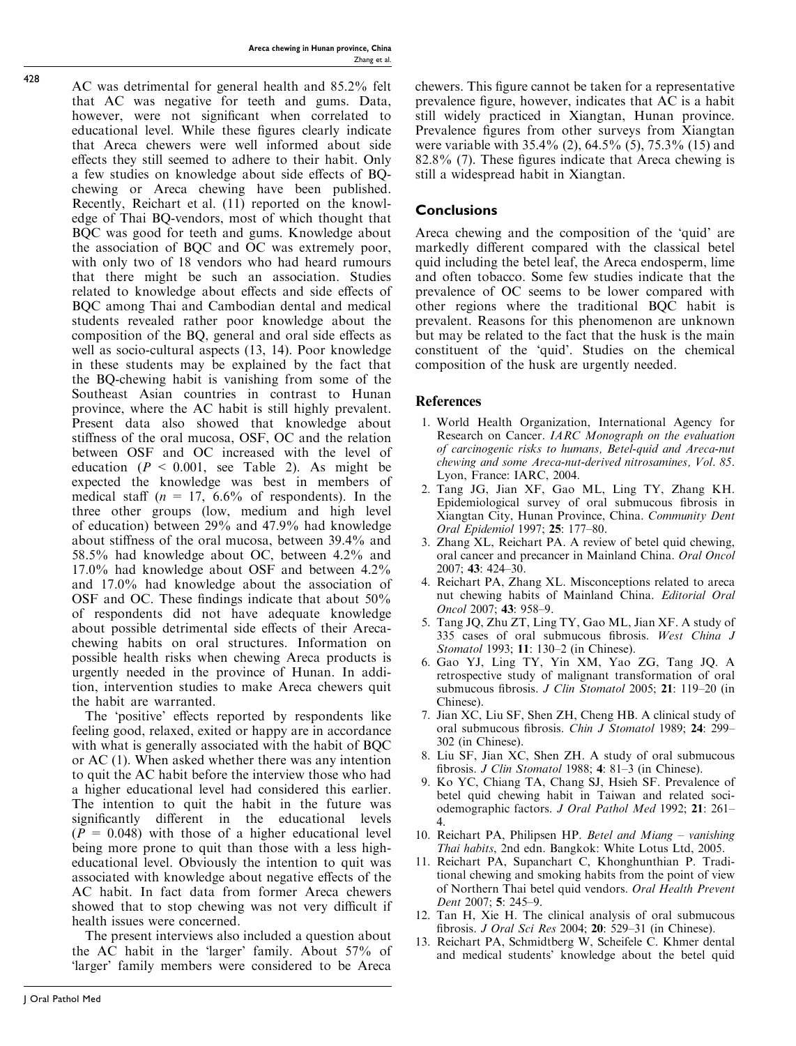AC was detrimental for general health and 85.2% felt that AC was negative for teeth and gums. Data, however, were not significant when correlated to educational level. While these figures clearly indicate that Areca chewers were well informed about side effects they still seemed to adhere to their habit. Only a few studies on knowledge about side effects of BQchewing or Areca chewing have been published. Recently, Reichart et al. (11) reported on the knowledge of Thai BQ-vendors, most of which thought that BQC was good for teeth and gums. Knowledge about the association of BQC and OC was extremely poor, with only two of 18 vendors who had heard rumours that there might be such an association. Studies related to knowledge about effects and side effects of BQC among Thai and Cambodian dental and medical students revealed rather poor knowledge about the composition of the BQ, general and oral side effects as well as socio-cultural aspects (13, 14). Poor knowledge in these students may be explained by the fact that the BQ-chewing habit is vanishing from some of the Southeast Asian countries in contrast to Hunan province, where the AC habit is still highly prevalent. Present data also showed that knowledge about stiffness of the oral mucosa, OSF, OC and the relation between OSF and OC increased with the level of education ( $P < 0.001$ , see Table 2). As might be expected the knowledge was best in members of medical staff ( $n = 17, 6.6\%$  of respondents). In the three other groups (low, medium and high level of education) between 29% and 47.9% had knowledge about stiffness of the oral mucosa, between 39.4% and 58.5% had knowledge about OC, between 4.2% and 17.0% had knowledge about OSF and between 4.2% and 17.0% had knowledge about the association of OSF and OC. These findings indicate that about 50% of respondents did not have adequate knowledge about possible detrimental side effects of their Arecachewing habits on oral structures. Information on possible health risks when chewing Areca products is urgently needed in the province of Hunan. In addition, intervention studies to make Areca chewers quit the habit are warranted.

The 'positive' effects reported by respondents like feeling good, relaxed, exited or happy are in accordance with what is generally associated with the habit of BOC or AC (1). When asked whether there was any intention to quit the AC habit before the interview those who had a higher educational level had considered this earlier. The intention to quit the habit in the future was significantly different in the educational levels  $(P = 0.048)$  with those of a higher educational level being more prone to quit than those with a less higheducational level. Obviously the intention to quit was associated with knowledge about negative effects of the AC habit. In fact data from former Areca chewers showed that to stop chewing was not very difficult if health issues were concerned.

The present interviews also included a question about the AC habit in the 'larger' family. About 57% of -larger' family members were considered to be Areca

chewers. This figure cannot be taken for a representative prevalence figure, however, indicates that AC is a habit still widely practiced in Xiangtan, Hunan province. Prevalence figures from other surveys from Xiangtan were variable with 35.4% (2), 64.5% (5), 75.3% (15) and 82.8% (7). These figures indicate that Areca chewing is still a widespread habit in Xiangtan.

## **Conclusions**

Areca chewing and the composition of the 'quid' are markedly different compared with the classical betel quid including the betel leaf, the Areca endosperm, lime and often tobacco. Some few studies indicate that the prevalence of OC seems to be lower compared with other regions where the traditional BQC habit is prevalent. Reasons for this phenomenon are unknown but may be related to the fact that the husk is the main constituent of the 'quid'. Studies on the chemical composition of the husk are urgently needed.

## **References**

- 1. World Health Organization, International Agency for Research on Cancer. IARC Monograph on the evaluation of carcinogenic risks to humans, Betel-quid and Areca-nut chewing and some Areca-nut-derived nitrosamines, Vol. 85. Lyon, France: IARC, 2004.
- 2. Tang JG, Jian XF, Gao ML, Ling TY, Zhang KH. Epidemiological survey of oral submucous fibrosis in Xiangtan City, Hunan Province, China. Community Dent Oral Epidemiol 1997; 25: 177–80.
- 3. Zhang XL, Reichart PA. A review of betel quid chewing, oral cancer and precancer in Mainland China. Oral Oncol 2007; 43: 424–30.
- 4. Reichart PA, Zhang XL. Misconceptions related to areca nut chewing habits of Mainland China. Editorial Oral Oncol 2007; 43: 958–9.
- 5. Tang JQ, Zhu ZT, Ling TY, Gao ML, Jian XF. A study of 335 cases of oral submucous fibrosis. West China J Stomatol 1993; 11: 130-2 (in Chinese).
- 6. Gao YJ, Ling TY, Yin XM, Yao ZG, Tang JQ. A retrospective study of malignant transformation of oral submucous fibrosis. J Clin Stomatol 2005; 21: 119-20 (in Chinese).
- 7. Jian XC, Liu SF, Shen ZH, Cheng HB. A clinical study of oral submucous fibrosis. Chin J Stomatol 1989; 24: 299– 302 (in Chinese).
- 8. Liu SF, Jian XC, Shen ZH. A study of oral submucous fibrosis. J Clin Stomatol 1988; 4: 81-3 (in Chinese).
- 9. Ko YC, Chiang TA, Chang SJ, Hsieh SF. Prevalence of betel quid chewing habit in Taiwan and related sociodemographic factors. J Oral Pathol Med 1992; 21: 261– 4.
- 10. Reichart PA, Philipsen HP. Betel and Miang vanishing Thai habits, 2nd edn. Bangkok: White Lotus Ltd, 2005.
- 11. Reichart PA, Supanchart C, Khonghunthian P. Traditional chewing and smoking habits from the point of view of Northern Thai betel quid vendors. Oral Health Prevent Dent 2007; 5: 245–9.
- 12. Tan H, Xie H. The clinical analysis of oral submucous fibrosis. J Oral Sci Res 2004; 20: 529–31 (in Chinese).
- 13. Reichart PA, Schmidtberg W, Scheifele C. Khmer dental and medical students' knowledge about the betel quid